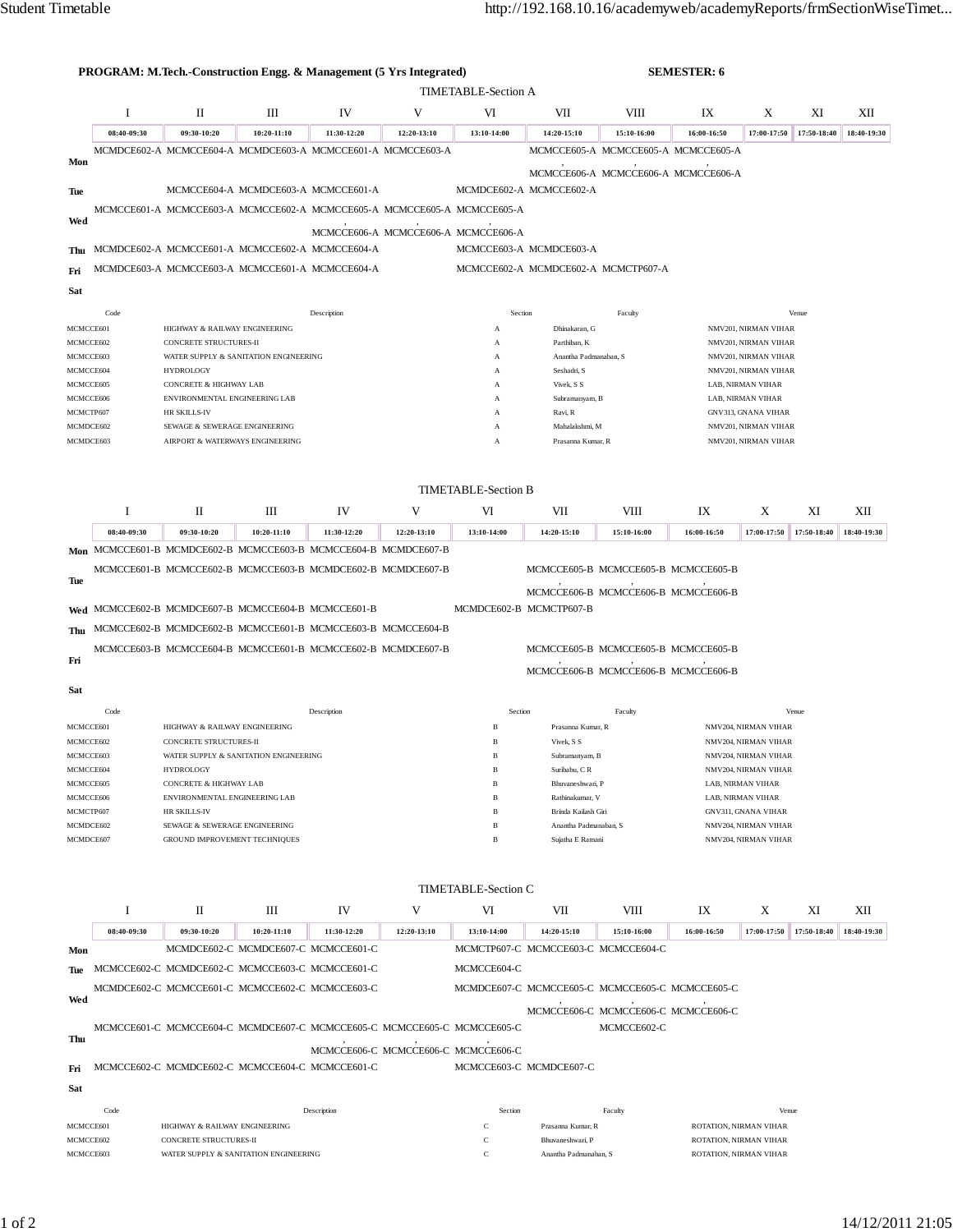| <b>PROGRAM: M.Tech.-Construction Engg. &amp; Management (5 Yrs Integrated)</b> |                            |                                                                         |                                     |             |                                     |                                     |                                           | <b>SEMESTER: 6</b>                              |                                                  |                      |             |             |  |
|--------------------------------------------------------------------------------|----------------------------|-------------------------------------------------------------------------|-------------------------------------|-------------|-------------------------------------|-------------------------------------|-------------------------------------------|-------------------------------------------------|--------------------------------------------------|----------------------|-------------|-------------|--|
| <b>TIMETABLE-Section A</b>                                                     |                            |                                                                         |                                     |             |                                     |                                     |                                           |                                                 |                                                  |                      |             |             |  |
|                                                                                | $\bf{I}$                   | П                                                                       | Ш                                   | IV          | V                                   | VI                                  | VII                                       | VIII                                            | IX                                               | X                    | XI          | XII         |  |
|                                                                                | 08:40-09:30                | 09:30-10:20                                                             | 10:20-11:10                         | 11:30-12:20 | 12:20-13:10                         | 13:10-14:00                         | 14:20-15:10                               | 15:10-16:00                                     | 16:00-16:50                                      | 17:00-17:50          | 17:50-18:40 | 18:40-19:30 |  |
|                                                                                |                            | MCMDCE602-A MCMCCE604-A MCMDCE603-A MCMCCE601-A MCMCCE603-A             |                                     |             |                                     |                                     |                                           | MCMCCE605-A MCMCCE605-A MCMCCE605-A             |                                                  |                      |             |             |  |
| Mon                                                                            |                            |                                                                         |                                     |             |                                     |                                     |                                           | MCMCCE606-A MCMCCE606-A MCMCCE606-A             |                                                  |                      |             |             |  |
| Tue                                                                            |                            |                                                                         | MCMCCE604-A MCMDCE603-A MCMCCE601-A |             |                                     |                                     | MCMDCE602-A MCMCCE602-A                   |                                                 |                                                  |                      |             |             |  |
|                                                                                |                            | MCMCCE601-A MCMCCE603-A MCMCCE602-A MCMCCE605-A MCMCCE605-A MCMCCE605-A |                                     |             |                                     |                                     |                                           |                                                 |                                                  |                      |             |             |  |
| Wed                                                                            |                            |                                                                         |                                     |             | MCMCCE606-A MCMCCE606-A MCMCCE606-A |                                     |                                           |                                                 |                                                  |                      |             |             |  |
| Thu                                                                            |                            | MCMDCE602-A MCMCCE601-A MCMCCE602-A MCMCCE604-A                         |                                     |             |                                     |                                     | MCMCCE603-A MCMDCE603-A                   |                                                 |                                                  |                      |             |             |  |
| Fri                                                                            |                            | MCMDCE603-A MCMCCE603-A MCMCCE601-A MCMCCE604-A                         |                                     |             |                                     |                                     |                                           | MCMCCE602-A MCMDCE602-A MCMCTP607-A             |                                                  |                      |             |             |  |
| Sat                                                                            |                            |                                                                         |                                     |             |                                     |                                     |                                           |                                                 |                                                  |                      |             |             |  |
|                                                                                | Code                       |                                                                         |                                     | Description |                                     | Section                             |                                           | Faculty                                         |                                                  |                      | Venue       |             |  |
| MCMCCE601                                                                      |                            | HIGHWAY & RAILWAY ENGINEERING                                           |                                     |             |                                     | A                                   | Dhinakaran, G                             |                                                 | NMV201, NIRMAN VIHAR                             |                      |             |             |  |
| MCMCCE602                                                                      |                            | CONCRETE STRUCTURES-II                                                  |                                     |             |                                     | A                                   | Parthiban, K                              |                                                 | NMV201, NIRMAN VIHAR                             |                      |             |             |  |
| MCMCCE603<br>MCMCCE604                                                         |                            | WATER SUPPLY & SANITATION ENGINEERING<br><b>HYDROLOGY</b>               |                                     |             |                                     | A<br>A                              | Anantha Padmanaban, S<br>Seshadri, S      |                                                 | NMV201, NIRMAN VIHAR<br>NMV201, NIRMAN VIHAR     |                      |             |             |  |
| MCMCCE605                                                                      |                            | CONCRETE & HIGHWAY LAB                                                  |                                     |             |                                     | А                                   | Vivek, S S                                |                                                 | LAB, NIRMAN VIHAR                                |                      |             |             |  |
| MCMCCE606                                                                      |                            | ENVIRONMENTAL ENGINEERING LAB                                           |                                     |             |                                     | A                                   | Subramanyam, B                            |                                                 | LAB, NIRMAN VIHAR                                |                      |             |             |  |
| MCMCTP607                                                                      |                            | HR SKILLS-IV                                                            |                                     |             |                                     | А                                   | Ravi, R                                   |                                                 | <b>GNV313, GNANA VIHAR</b>                       |                      |             |             |  |
| MCMDCE602<br>MCMDCE603                                                         |                            | SEWAGE & SEWERAGE ENGINEERING<br>AIRPORT & WATERWAYS ENGINEERING        |                                     |             |                                     | A<br>A                              | Mahalakshmi, M<br>Prasanna Kumar, R       |                                                 | NMV201, NIRMAN VIHAR<br>NMV201, NIRMAN VIHAR     |                      |             |             |  |
|                                                                                |                            |                                                                         |                                     |             |                                     |                                     |                                           |                                                 |                                                  |                      |             |             |  |
|                                                                                |                            |                                                                         |                                     |             |                                     |                                     |                                           |                                                 |                                                  |                      |             |             |  |
|                                                                                |                            |                                                                         |                                     |             |                                     | <b>TIMETABLE-Section B</b>          |                                           |                                                 |                                                  |                      |             |             |  |
|                                                                                | <b>I</b>                   | П                                                                       | Ш                                   | IV          | V                                   | VI                                  | VII                                       | VIII                                            | IX                                               | X                    | XI          | XII         |  |
|                                                                                | 08:40-09:30                | 09:30-10:20                                                             | 10:20-11:10                         | 11:30-12:20 | 12:20-13:10                         | 13:10-14:00                         | 14:20-15:10                               | 15:10-16:00                                     | 16:00-16:50                                      | 17:00-17:50          | 17:50-18:40 | 18:40-19:30 |  |
|                                                                                |                            | Mon MCMCCE601-B MCMDCE602-B MCMCCE603-B MCMCCE604-B MCMDCE607-B         |                                     |             |                                     |                                     |                                           |                                                 |                                                  |                      |             |             |  |
| Tue                                                                            |                            | MCMCCE601-B MCMCCE602-B MCMCCE603-B MCMDCE602-B MCMDCE607-B             |                                     |             |                                     |                                     |                                           | MCMCCE605-B MCMCCE605-B MCMCCE605-B             |                                                  |                      |             |             |  |
|                                                                                |                            |                                                                         |                                     |             |                                     |                                     |                                           | MCMCCE606-B MCMCCE606-B MCMCCE606-B             |                                                  |                      |             |             |  |
| Wed                                                                            |                            | MCMCCE602-B MCMDCE607-B MCMCCE604-B MCMCCE601-B                         |                                     |             |                                     | MCMDCE602-B MCMCTP607-B             |                                           |                                                 |                                                  |                      |             |             |  |
| Thu                                                                            |                            | MCMCCE602-B MCMDCE602-B MCMCCE601-B MCMCCE603-B MCMCCE604-B             |                                     |             |                                     |                                     |                                           |                                                 |                                                  |                      |             |             |  |
| Fri                                                                            |                            | MCMCCE603-B MCMCCE604-B MCMCCE601-B MCMCCE602-B MCMDCE607-B             |                                     |             |                                     |                                     |                                           | MCMCCE605-B MCMCCE605-B MCMCCE605-B             |                                                  |                      |             |             |  |
|                                                                                |                            |                                                                         |                                     |             |                                     |                                     |                                           | MCMCCE606-B MCMCCE606-B MCMCCE606-B             |                                                  |                      |             |             |  |
| Sat                                                                            |                            |                                                                         |                                     |             |                                     |                                     |                                           |                                                 |                                                  |                      |             |             |  |
|                                                                                | Code                       |                                                                         |                                     | Description |                                     | Section                             |                                           | Faculty                                         |                                                  |                      | Venue       |             |  |
| MCMCCE601                                                                      |                            | HIGHWAY & RAILWAY ENGINEERING                                           |                                     |             |                                     | B                                   | Prasanna Kumar, R                         |                                                 | NMV204, NIRMAN VIHAR                             |                      |             |             |  |
| MCMCCE602                                                                      |                            | CONCRETE STRUCTURES-II                                                  |                                     |             |                                     | B                                   | Vivek, S S<br>Subramanyam, B              |                                                 | NMV204, NIRMAN VIHAR<br>NMV204, NIRMAN VIHAR     |                      |             |             |  |
| MCMCCE603<br>MCMCCE604                                                         |                            | WATER SUPPLY & SANITATION ENGINEERING<br><b>HYDROLOGY</b>               |                                     |             |                                     | B                                   | Suribabu, CR                              |                                                 | NMV204, NIRMAN VIHAR                             |                      |             |             |  |
| MCMCCE605                                                                      |                            | CONCRETE & HIGHWAY LAB                                                  |                                     |             |                                     | B                                   | Bhuvaneshwari, P                          |                                                 | LAB, NIRMAN VIHAR                                |                      |             |             |  |
| MCMCCE606                                                                      |                            | ENVIRONMENTAL ENGINEERING LAB                                           |                                     |             |                                     | B                                   | Rathinakumar, V                           |                                                 | LAB, NIRMAN VIHAR                                |                      |             |             |  |
| MCMCTP607                                                                      |                            | HR SKILLS-IV                                                            |                                     |             |                                     | B                                   | Brinda Kailash Giri                       |                                                 | GNV311, GNANA VIHAR<br>NMV204, NIRMAN VIHAR      |                      |             |             |  |
| MCMDCE602<br>MCMDCE607                                                         |                            | SEWAGE & SEWERAGE ENGINEERING<br>GROUND IMPROVEMENT TECHNIQUES          |                                     |             |                                     | B<br>B                              | Anantha Padmanaban, S<br>Sujatha E Ramani |                                                 |                                                  | NMV204, NIRMAN VIHAR |             |             |  |
|                                                                                |                            |                                                                         |                                     |             |                                     |                                     |                                           |                                                 |                                                  |                      |             |             |  |
|                                                                                |                            |                                                                         |                                     |             |                                     |                                     |                                           |                                                 |                                                  |                      |             |             |  |
|                                                                                | <b>TIMETABLE-Section C</b> |                                                                         |                                     |             |                                     |                                     |                                           |                                                 |                                                  |                      |             |             |  |
|                                                                                | 1                          | П                                                                       | Ш                                   | IV          | V                                   | VI                                  | VII                                       | VIII                                            | IX                                               | Χ                    | XI          | XII         |  |
|                                                                                | 08:40-09:30                | 09:30-10:20                                                             | 10:20-11:10                         | 11:30-12:20 | 12:20-13:10                         | 13:10-14:00                         | 14:20-15:10                               | 15:10-16:00                                     | 16:00-16:50                                      | 17:00-17:50          | 17:50-18:40 | 18:40-19:30 |  |
| Mon                                                                            |                            |                                                                         | MCMDCE602-C MCMDCE607-C MCMCCE601-C |             |                                     | MCMCTP607-C MCMCCE603-C MCMCCE604-C |                                           |                                                 |                                                  |                      |             |             |  |
| Tue                                                                            |                            | MCMCCE602-C MCMDCE602-C MCMCCE603-C MCMCCE601-C                         |                                     |             |                                     | MCMCCE604-C                         |                                           |                                                 |                                                  |                      |             |             |  |
| Wed                                                                            |                            | MCMDCE602-C MCMCCE601-C MCMCCE602-C MCMCCE603-C                         |                                     |             |                                     |                                     |                                           | MCMDCE607-C MCMCCE605-C MCMCCE605-C MCMCCE605-C |                                                  |                      |             |             |  |
| MCMCCE601-C MCMCCE604-C MCMDCE607-C MCMCCE605-C MCMCCE605-C MCMCCE605-C        |                            |                                                                         |                                     |             |                                     | MCMCCE606-C MCMCCE606-C MCMCCE606-C |                                           |                                                 |                                                  |                      |             |             |  |
| Thu                                                                            |                            |                                                                         |                                     |             |                                     |                                     |                                           | MCMCCE602-C                                     |                                                  |                      |             |             |  |
|                                                                                |                            |                                                                         |                                     |             | MCMCCE606-C MCMCCE606-C MCMCCE606-C |                                     |                                           |                                                 |                                                  |                      |             |             |  |
| Fri                                                                            |                            | MCMCCE602-C MCMDCE602-C MCMCCE604-C MCMCCE601-C                         |                                     |             |                                     | MCMCCE603-C MCMDCE607-C             |                                           |                                                 |                                                  |                      |             |             |  |
| Sat                                                                            |                            |                                                                         |                                     |             |                                     |                                     |                                           |                                                 |                                                  |                      |             |             |  |
|                                                                                | Code                       |                                                                         |                                     | Description |                                     | Section                             |                                           | Faculty                                         | Venue                                            |                      |             |             |  |
| MCMCCE601                                                                      |                            | HIGHWAY & RAILWAY ENGINEERING<br>CONCRETE STRUCTURES-II                 |                                     |             |                                     | Ċ<br>$\mathbf C$                    | Prasanna Kumar, R                         |                                                 | ROTATION, NIRMAN VIHAR                           |                      |             |             |  |
| MCMCCE602<br>MCMCCE603                                                         |                            | WATER SUPPLY & SANITATION ENGINEERING                                   |                                     |             |                                     | С                                   | Bhuvaneshwari, P<br>Anantha Padmanaban, S |                                                 | ROTATION, NIRMAN VIHAR<br>ROTATION, NIRMAN VIHAR |                      |             |             |  |
|                                                                                |                            |                                                                         |                                     |             |                                     |                                     |                                           |                                                 |                                                  |                      |             |             |  |